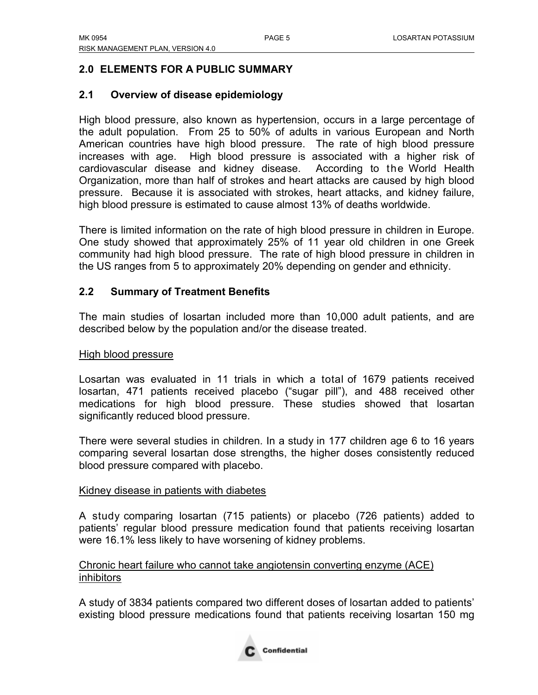# **2.0 ELEMENTS FOR A PUBLIC SUMMARY**

# **2.1 Overview of disease epidemiology**

High blood pressure, also known as hypertension, occurs in a large percentage of the adult population. From 25 to 50% of adults in various European and North American countries have high blood pressure. The rate of high blood pressure increases with age. High blood pressure is associated with a higher risk of cardiovascular disease and kidney disease. According to the World Health Organization, more than half of strokes and heart attacks are caused by high blood pressure. Because it is associated with strokes, heart attacks, and kidney failure, high blood pressure is estimated to cause almost 13% of deaths worldwide.

There is limited information on the rate of high blood pressure in children in Europe. One study showed that approximately 25% of 11 year old children in one Greek community had high blood pressure. The rate of high blood pressure in children in the US ranges from 5 to approximately 20% depending on gender and ethnicity.

# **2.2 Summary of Treatment Benefits**

The main studies of losartan included more than 10,000 adult patients, and are described below by the population and/or the disease treated.

# High blood pressure

Losartan was evaluated in 11 trials in which a total of 1679 patients received losartan, 471 patients received placebo ("sugar pill"), and 488 received other medications for high blood pressure. These studies showed that losartan significantly reduced blood pressure.

There were several studies in children. In a study in 177 children age 6 to 16 years comparing several losartan dose strengths, the higher doses consistently reduced blood pressure compared with placebo.

# Kidney disease in patients with diabetes

A study comparing losartan (715 patients) or placebo (726 patients) added to patients' regular blood pressure medication found that patients receiving losartan were 16.1% less likely to have worsening of kidney problems.

# Chronic heart failure who cannot take angiotensin converting enzyme (ACE) inhibitors

A study of 3834 patients compared two different doses of losartan added to patients' existing blood pressure medications found that patients receiving losartan 150 mg

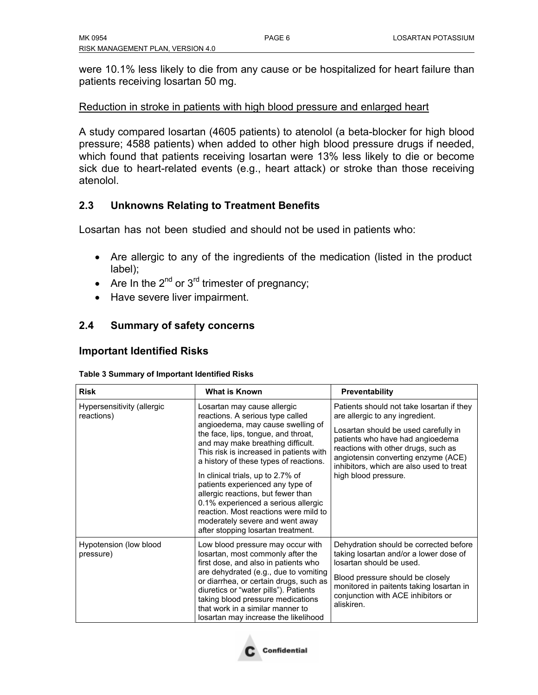were 10.1% less likely to die from any cause or be hospitalized for heart failure than patients receiving losartan 50 mg.

### Reduction in stroke in patients with high blood pressure and enlarged heart

A study compared losartan (4605 patients) to atenolol (a beta-blocker for high blood pressure; 4588 patients) when added to other high blood pressure drugs if needed, which found that patients receiving losartan were 13% less likely to die or become sick due to heart-related events (e.g., heart attack) or stroke than those receiving atenolol.

# **2.3 Unknowns Relating to Treatment Benefits**

Losartan has not been studied and should not be used in patients who:

- Are allergic to any of the ingredients of the medication (listed in the product label);
- Are In the  $2^{nd}$  or  $3^{rd}$  trimester of pregnancy;
- Have severe liver impairment.

# **2.4 Summary of safety concerns**

# **Important Identified Risks**

| <b>Table 3 Summary of Important Identified Risks</b> |
|------------------------------------------------------|
|                                                      |

| <b>Risk</b>                              | <b>What is Known</b>                                                                                                                                                                                                                                                                                                                                                                                                                                                                                                                          | Preventability                                                                                                                                                                                                                                                                                             |
|------------------------------------------|-----------------------------------------------------------------------------------------------------------------------------------------------------------------------------------------------------------------------------------------------------------------------------------------------------------------------------------------------------------------------------------------------------------------------------------------------------------------------------------------------------------------------------------------------|------------------------------------------------------------------------------------------------------------------------------------------------------------------------------------------------------------------------------------------------------------------------------------------------------------|
| Hypersensitivity (allergic<br>reactions) | Losartan may cause allergic<br>reactions. A serious type called<br>angioedema, may cause swelling of<br>the face, lips, tongue, and throat,<br>and may make breathing difficult.<br>This risk is increased in patients with<br>a history of these types of reactions.<br>In clinical trials, up to 2.7% of<br>patients experienced any type of<br>allergic reactions, but fewer than<br>0.1% experienced a serious allergic<br>reaction. Most reactions were mild to<br>moderately severe and went away<br>after stopping losartan treatment. | Patients should not take losartan if they<br>are allergic to any ingredient.<br>Losartan should be used carefully in<br>patients who have had angioedema<br>reactions with other drugs, such as<br>angiotensin converting enzyme (ACE)<br>inhibitors, which are also used to treat<br>high blood pressure. |
| Hypotension (low blood<br>pressure)      | Low blood pressure may occur with<br>losartan, most commonly after the<br>first dose, and also in patients who<br>are dehydrated (e.g., due to vomiting<br>or diarrhea, or certain drugs, such as<br>diuretics or "water pills"). Patients<br>taking blood pressure medications<br>that work in a similar manner to<br>losartan may increase the likelihood                                                                                                                                                                                   | Dehydration should be corrected before<br>taking losartan and/or a lower dose of<br>losartan should be used.<br>Blood pressure should be closely<br>monitored in paitents taking losartan in<br>conjunction with ACE inhibitors or<br>aliskiren.                                                           |

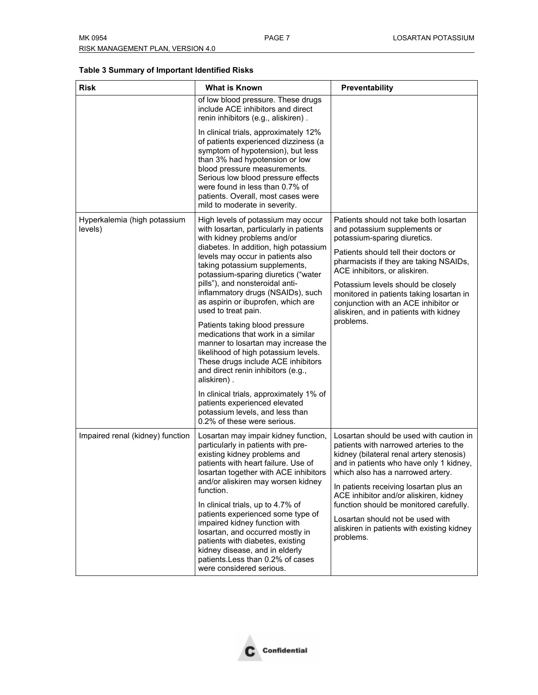#### **Table 3 Summary of Important Identified Risks**

| <b>Risk</b>                             | <b>What is Known</b>                                                                                                                                                                                                                                                                                                                                                                                                                                                                                                                                                                                                                                                                                                                                                                                    | <b>Preventability</b>                                                                                                                                                                                                                                                                                                                                                                                                                       |
|-----------------------------------------|---------------------------------------------------------------------------------------------------------------------------------------------------------------------------------------------------------------------------------------------------------------------------------------------------------------------------------------------------------------------------------------------------------------------------------------------------------------------------------------------------------------------------------------------------------------------------------------------------------------------------------------------------------------------------------------------------------------------------------------------------------------------------------------------------------|---------------------------------------------------------------------------------------------------------------------------------------------------------------------------------------------------------------------------------------------------------------------------------------------------------------------------------------------------------------------------------------------------------------------------------------------|
|                                         | of low blood pressure. These drugs<br>include ACE inhibitors and direct<br>renin inhibitors (e.g., aliskiren).                                                                                                                                                                                                                                                                                                                                                                                                                                                                                                                                                                                                                                                                                          |                                                                                                                                                                                                                                                                                                                                                                                                                                             |
|                                         | In clinical trials, approximately 12%<br>of patients experienced dizziness (a<br>symptom of hypotension), but less<br>than 3% had hypotension or low<br>blood pressure measurements.<br>Serious low blood pressure effects<br>were found in less than 0.7% of<br>patients. Overall, most cases were<br>mild to moderate in severity.                                                                                                                                                                                                                                                                                                                                                                                                                                                                    |                                                                                                                                                                                                                                                                                                                                                                                                                                             |
| Hyperkalemia (high potassium<br>levels) | High levels of potassium may occur<br>with losartan, particularly in patients<br>with kidney problems and/or<br>diabetes. In addition, high potassium<br>levels may occur in patients also<br>taking potassium supplements,<br>potassium-sparing diuretics ("water<br>pills"), and nonsteroidal anti-<br>inflammatory drugs (NSAIDs), such<br>as aspirin or ibuprofen, which are<br>used to treat pain.<br>Patients taking blood pressure<br>medications that work in a similar<br>manner to losartan may increase the<br>likelihood of high potassium levels.<br>These drugs include ACE inhibitors<br>and direct renin inhibitors (e.g.,<br>aliskiren).<br>In clinical trials, approximately 1% of<br>patients experienced elevated<br>potassium levels, and less than<br>0.2% of these were serious. | Patients should not take both losartan<br>and potassium supplements or<br>potassium-sparing diuretics.<br>Patients should tell their doctors or<br>pharmacists if they are taking NSAIDs,<br>ACE inhibitors, or aliskiren.<br>Potassium levels should be closely<br>monitored in patients taking losartan in<br>conjunction with an ACE inhibitor or<br>aliskiren, and in patients with kidney<br>problems.                                 |
| Impaired renal (kidney) function        | Losartan may impair kidney function,<br>particularly in patients with pre-<br>existing kidney problems and<br>patients with heart failure. Use of<br>losartan together with ACE inhibitors<br>and/or aliskiren may worsen kidney<br>function.<br>In clinical trials, up to 4.7% of<br>patients experienced some type of<br>impaired kidney function with<br>losartan, and occurred mostly in<br>patients with diabetes, existing<br>kidney disease, and in elderly<br>patients.Less than 0.2% of cases<br>were considered serious.                                                                                                                                                                                                                                                                      | Losartan should be used with caution in<br>patients with narrowed arteries to the<br>kidney (bilateral renal artery stenosis)<br>and in patients who have only 1 kidney,<br>which also has a narrowed artery.<br>In patients receiving losartan plus an<br>ACE inhibitor and/or aliskiren, kidney<br>function should be monitored carefully.<br>Losartan should not be used with<br>aliskiren in patients with existing kidney<br>problems. |

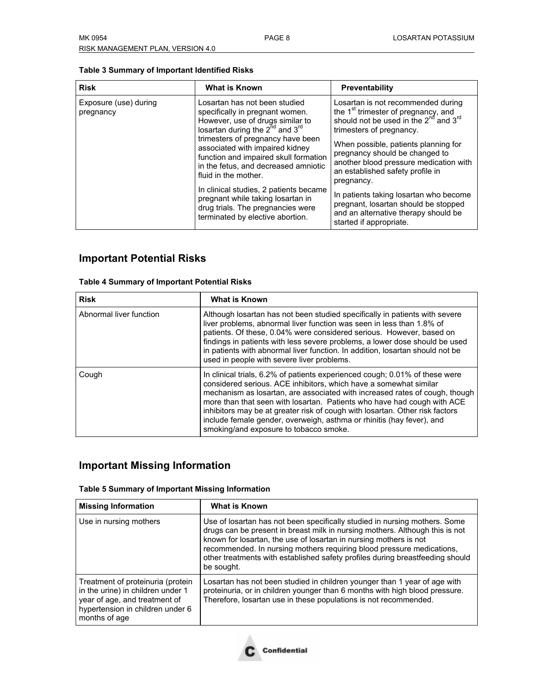| Table 3 Summary of Important Identified Risks |  |  |
|-----------------------------------------------|--|--|
|-----------------------------------------------|--|--|

| <b>Risk</b>                        | <b>What is Known</b>                                                                                                                                                                                                                                                                                                                                                                                                            | Preventability                                                                                                                                                                                                                                                                                                                                                                                                                             |
|------------------------------------|---------------------------------------------------------------------------------------------------------------------------------------------------------------------------------------------------------------------------------------------------------------------------------------------------------------------------------------------------------------------------------------------------------------------------------|--------------------------------------------------------------------------------------------------------------------------------------------------------------------------------------------------------------------------------------------------------------------------------------------------------------------------------------------------------------------------------------------------------------------------------------------|
| Exposure (use) during<br>pregnancy | Losartan has not been studied<br>specifically in pregnant women.<br>However, use of drugs similar to<br>losartan during the $2^{\text{nd}}$ and $3^{\text{rd}}$<br>trimesters of pregnancy have been<br>associated with impaired kidney<br>function and impaired skull formation<br>in the fetus, and decreased amniotic<br>fluid in the mother.<br>In clinical studies, 2 patients became<br>pregnant while taking losartan in | Losartan is not recommended during<br>the 1 <sup>st</sup> trimester of pregnancy, and<br>should not be used in the 2 <sup>nd</sup> and 3 <sup>rd</sup><br>trimesters of pregnancy.<br>When possible, patients planning for<br>pregnancy should be changed to<br>another blood pressure medication with<br>an established safety profile in<br>pregnancy.<br>In patients taking losartan who become<br>pregnant, losartan should be stopped |
|                                    | drug trials. The pregnancies were<br>terminated by elective abortion.                                                                                                                                                                                                                                                                                                                                                           | and an alternative therapy should be<br>started if appropriate.                                                                                                                                                                                                                                                                                                                                                                            |

# **Important Potential Risks**

| <b>Table 4 Summary of Important Potential Risks</b> |                                                                                                                                                                                                                                                                                                                                                                                                                                            |  |
|-----------------------------------------------------|--------------------------------------------------------------------------------------------------------------------------------------------------------------------------------------------------------------------------------------------------------------------------------------------------------------------------------------------------------------------------------------------------------------------------------------------|--|
| <b>Risk</b>                                         | <b>What is Known</b>                                                                                                                                                                                                                                                                                                                                                                                                                       |  |
| Abnormal liver function                             | Although losartan has not been studied specifically in patients with severe<br>liver problems, abnormal liver function was seen in less than 1.8% of<br>patients. Of these, 0.04% were considered serious. However, based on<br>findings in patients with less severe problems, a lower dose should be used<br>in patients with abnormal liver function. In addition, losartan should not be<br>used in people with severe liver problems. |  |
| Cough                                               | In clinical trials, 6.2% of patients experienced cough; 0.01% of these were<br>considered serious. ACE inhibitors, which have a somewhat similar<br>mechanism as losartan, are associated with increased rates of cough, though<br>more than that seen with losartan. Patients who have had cough with ACE<br>inhibitors may be at greater risk of cough with losartan. Other risk factors                                                 |  |

# **Important Missing Information**

#### **Table 5 Summary of Important Missing Information**

| <b>Missing Information</b>                                                                                                                                   | <b>What is Known</b>                                                                                                                                                                                                                                                                                                                                                                                    |
|--------------------------------------------------------------------------------------------------------------------------------------------------------------|---------------------------------------------------------------------------------------------------------------------------------------------------------------------------------------------------------------------------------------------------------------------------------------------------------------------------------------------------------------------------------------------------------|
| Use in nursing mothers                                                                                                                                       | Use of losartan has not been specifically studied in nursing mothers. Some<br>drugs can be present in breast milk in nursing mothers. Although this is not<br>known for losartan, the use of losartan in nursing mothers is not<br>recommended. In nursing mothers requiring blood pressure medications,<br>other treatments with established safety profiles during breastfeeding should<br>be sought. |
| Treatment of proteinuria (protein<br>in the urine) in children under 1<br>year of age, and treatment of<br>hypertension in children under 6<br>months of age | Losartan has not been studied in children younger than 1 year of age with<br>proteinuria, or in children younger than 6 months with high blood pressure.<br>Therefore, losartan use in these populations is not recommended.                                                                                                                                                                            |

smoking/and exposure to tobacco smoke.

include female gender, overweigh, asthma or rhinitis (hay fever), and

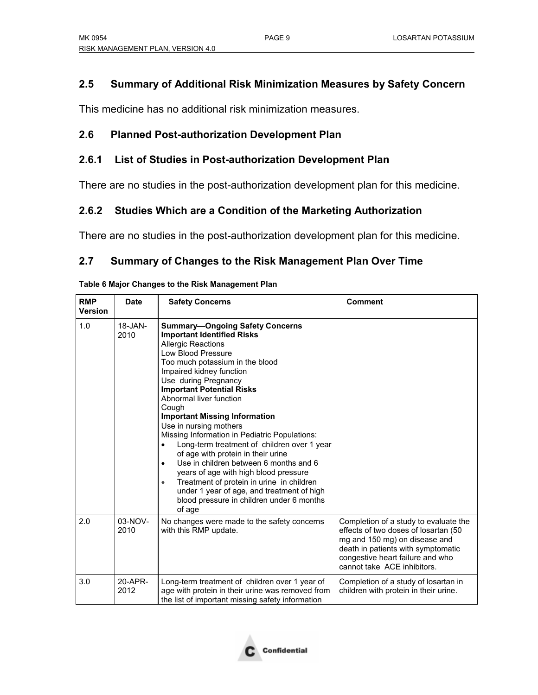# **2.5 Summary of Additional Risk Minimization Measures by Safety Concern**

This medicine has no additional risk minimization measures.

### **2.6 Planned Post-authorization Development Plan**

### **2.6.1 List of Studies in Post-authorization Development Plan**

There are no studies in the post-authorization development plan for this medicine.

# **2.6.2 Studies Which are a Condition of the Marketing Authorization**

There are no studies in the post-authorization development plan for this medicine.

# **2.7 Summary of Changes to the Risk Management Plan Over Time**

| <b>RMP</b><br><b>Version</b> | <b>Date</b>          | <b>Safety Concerns</b>                                                                                                                                                                                                                                                                                                                                                                                                                                                                                                                                                                                                                                                                                                                                               | <b>Comment</b>                                                                                                                                                                                                           |
|------------------------------|----------------------|----------------------------------------------------------------------------------------------------------------------------------------------------------------------------------------------------------------------------------------------------------------------------------------------------------------------------------------------------------------------------------------------------------------------------------------------------------------------------------------------------------------------------------------------------------------------------------------------------------------------------------------------------------------------------------------------------------------------------------------------------------------------|--------------------------------------------------------------------------------------------------------------------------------------------------------------------------------------------------------------------------|
| 1.0                          | $18 - JAN -$<br>2010 | <b>Summary-Ongoing Safety Concerns</b><br><b>Important Identified Risks</b><br><b>Allergic Reactions</b><br>Low Blood Pressure<br>Too much potassium in the blood<br>Impaired kidney function<br>Use during Pregnancy<br><b>Important Potential Risks</b><br>Abnormal liver function<br>Cough<br><b>Important Missing Information</b><br>Use in nursing mothers<br>Missing Information in Pediatric Populations:<br>Long-term treatment of children over 1 year<br>of age with protein in their urine<br>Use in children between 6 months and 6<br>$\bullet$<br>years of age with high blood pressure<br>Treatment of protein in urine in children<br>$\bullet$<br>under 1 year of age, and treatment of high<br>blood pressure in children under 6 months<br>of age |                                                                                                                                                                                                                          |
| 2.0                          | $03-NOV-$<br>2010    | No changes were made to the safety concerns<br>with this RMP update.                                                                                                                                                                                                                                                                                                                                                                                                                                                                                                                                                                                                                                                                                                 | Completion of a study to evaluate the<br>effects of two doses of losartan (50)<br>mg and 150 mg) on disease and<br>death in patients with symptomatic<br>congestive heart failure and who<br>cannot take ACE inhibitors. |
| 3.0                          | 20-APR-<br>2012      | Long-term treatment of children over 1 year of<br>age with protein in their urine was removed from<br>the list of important missing safety information                                                                                                                                                                                                                                                                                                                                                                                                                                                                                                                                                                                                               | Completion of a study of losartan in<br>children with protein in their urine.                                                                                                                                            |

**Table 6 Major Changes to the Risk Management Plan**